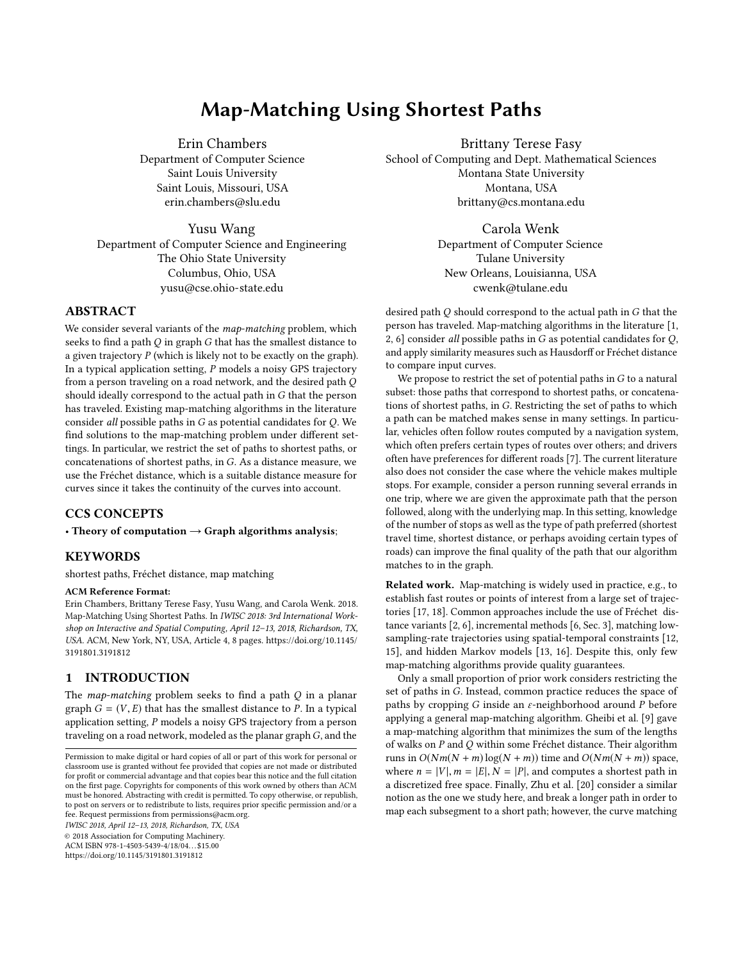# Map-Matching Using Shortest Paths

Erin Chambers Department of Computer Science Saint Louis University Saint Louis, Missouri, USA erin.chambers@slu.edu

Yusu Wang Department of Computer Science and Engineering The Ohio State University Columbus, Ohio, USA yusu@cse.ohio-state.edu

# ABSTRACT

We consider several variants of the *map-matching* problem, which seeks to find a path Q in graph G that has the smallest distance to a given trajectory  $P$  (which is likely not to be exactly on the graph). In a typical application setting, P models a noisy GPS trajectory from a person traveling on a road network, and the desired path Q should ideally correspond to the actual path in G that the person has traveled. Existing map-matching algorithms in the literature consider all possible paths in G as potential candidates for Q. We find solutions to the map-matching problem under different settings. In particular, we restrict the set of paths to shortest paths, or concatenations of shortest paths, in G. As a distance measure, we use the Fréchet distance, which is a suitable distance measure for curves since it takes the continuity of the curves into account.

# CCS CONCEPTS

• Theory of computation  $\rightarrow$  Graph algorithms analysis;

#### **KEYWORDS**

shortest paths, Fréchet distance, map matching

## ACM Reference Format:

Erin Chambers, Brittany Terese Fasy, Yusu Wang, and Carola Wenk. 2018. Map-Matching Using Shortest Paths. In IWISC 2018: 3rd International Workshop on Interactive and Spatial Computing, April 12–13, 2018, Richardson, TX, USA. ACM, New York, NY, USA, Article 4, [8](#page-7-0) pages. [https://doi.org/10.1145/](https://doi.org/10.1145/3191801.3191812) [3191801.3191812](https://doi.org/10.1145/3191801.3191812)

## 1 INTRODUCTION

The *map-matching* problem seeks to find a path  $Q$  in a planar graph  $G = (V, E)$  that has the smallest distance to P. In a typical application setting, P models a noisy GPS trajectory from a person traveling on a road network, modeled as the planar graph  $G$ , and the

IWISC 2018, April 12–13, 2018, Richardson, TX, USA

© 2018 Association for Computing Machinery.

ACM ISBN 978-1-4503-5439-4/18/04. . . \$15.00

<https://doi.org/10.1145/3191801.3191812>

Brittany Terese Fasy School of Computing and Dept. Mathematical Sciences Montana State University Montana, USA brittany@cs.montana.edu

> Carola Wenk Department of Computer Science Tulane University New Orleans, Louisianna, USA cwenk@tulane.edu

desired path Q should correspond to the actual path in G that the person has traveled. Map-matching algorithms in the literature [\[1,](#page-6-0) [2,](#page-6-1) [6\]](#page-6-2) consider all possible paths in  $G$  as potential candidates for  $Q$ , and apply similarity measures such as Hausdorff or Fréchet distance to compare input curves.

We propose to restrict the set of potential paths in  $G$  to a natural subset: those paths that correspond to shortest paths, or concatenations of shortest paths, in G. Restricting the set of paths to which a path can be matched makes sense in many settings. In particular, vehicles often follow routes computed by a navigation system, which often prefers certain types of routes over others; and drivers often have preferences for different roads [\[7\]](#page-6-3). The current literature also does not consider the case where the vehicle makes multiple stops. For example, consider a person running several errands in one trip, where we are given the approximate path that the person followed, along with the underlying map. In this setting, knowledge of the number of stops as well as the type of path preferred (shortest travel time, shortest distance, or perhaps avoiding certain types of roads) can improve the final quality of the path that our algorithm matches to in the graph.

Related work. Map-matching is widely used in practice, e.g., to establish fast routes or points of interest from a large set of trajectories [\[17,](#page-6-4) [18\]](#page-6-5). Common approaches include the use of Fréchet distance variants [\[2,](#page-6-1) [6\]](#page-6-2), incremental methods [\[6,](#page-6-2) Sec. 3], matching lowsampling-rate trajectories using spatial-temporal constraints [\[12,](#page-6-6) [15\]](#page-6-7), and hidden Markov models [\[13,](#page-6-8) [16\]](#page-6-9). Despite this, only few map-matching algorithms provide quality guarantees.

Only a small proportion of prior work considers restricting the set of paths in G. Instead, common practice reduces the space of paths by cropping G inside an  $\varepsilon$ -neighborhood around P before applying a general map-matching algorithm. Gheibi et al. [\[9\]](#page-6-10) gave a map-matching algorithm that minimizes the sum of the lengths of walks on P and Q within some Fréchet distance. Their algorithm runs in  $O(Nm(N + m) \log(N + m))$  time and  $O(Nm(N + m))$  space, where  $n = |V|$ ,  $m = |E|$ ,  $N = |P|$ , and computes a shortest path in a discretized free space. Finally, Zhu et al. [\[20\]](#page-7-1) consider a similar notion as the one we study here, and break a longer path in order to map each subsegment to a short path; however, the curve matching

Permission to make digital or hard copies of all or part of this work for personal or classroom use is granted without fee provided that copies are not made or distributed for profit or commercial advantage and that copies bear this notice and the full citation on the first page. Copyrights for components of this work owned by others than ACM must be honored. Abstracting with credit is permitted. To copy otherwise, or republish, to post on servers or to redistribute to lists, requires prior specific permission and/or a fee. Request permissions from permissions@acm.org.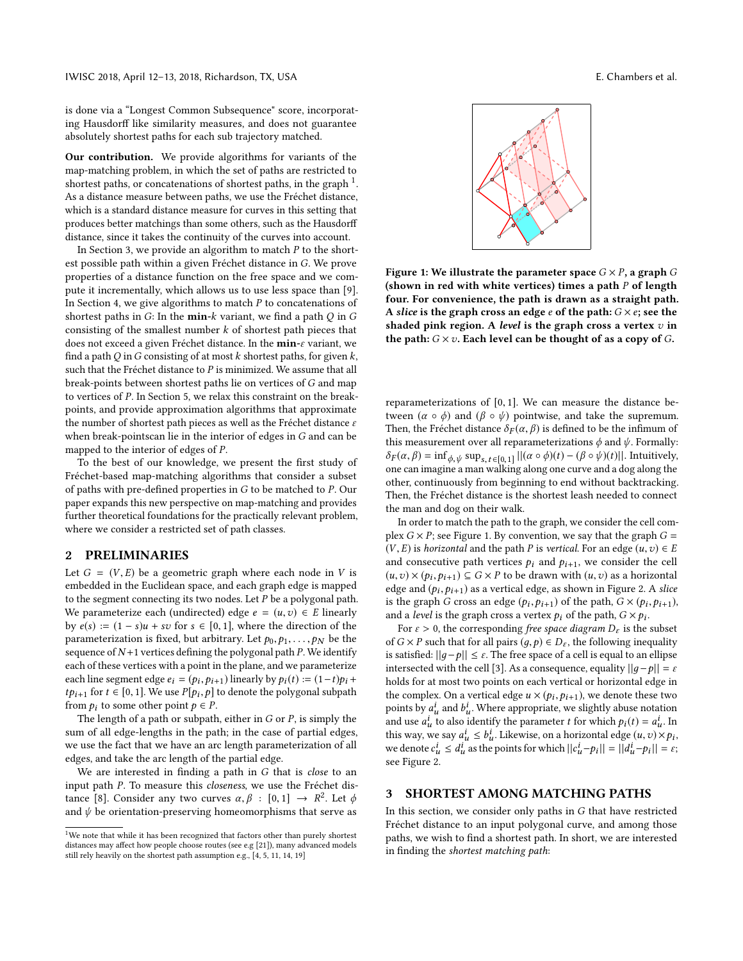is done via a "Longest Common Subsequence" score, incorporating Hausdorff like similarity measures, and does not guarantee absolutely shortest paths for each sub trajectory matched.

Our contribution. We provide algorithms for variants of the map-matching problem, in which the set of paths are restricted to shortest paths, or concatenations of shortest paths, in the graph  $1$ . As a distance measure between paths, we use the Fréchet distance, which is a standard distance measure for curves in this setting that produces better matchings than some others, such as the Hausdorff distance, since it takes the continuity of the curves into account.

In Section [3,](#page-1-1) we provide an algorithm to match  $P$  to the shortest possible path within a given Fréchet distance in G. We prove properties of a distance function on the free space and we compute it incrementally, which allows us to use less space than [\[9\]](#page-6-10). In Section [4,](#page-4-0) we give algorithms to match  $P$  to concatenations of shortest paths in  $G$ : In the **min-** $k$  variant, we find a path  $Q$  in  $G$ consisting of the smallest number  $k$  of shortest path pieces that does not exceed a given Fréchet distance. In the min-ε variant, we find a path Q in G consisting of at most  $k$  shortest paths, for given  $k$ , such that the Fréchet distance to  $P$  is minimized. We assume that all break-points between shortest paths lie on vertices of G and map to vertices of P. In Section [5,](#page-5-0) we relax this constraint on the breakpoints, and provide approximation algorithms that approximate the number of shortest path pieces as well as the Fréchet distance  $\varepsilon$ when break-pointscan lie in the interior of edges in G and can be mapped to the interior of edges of P.

To the best of our knowledge, we present the first study of Fréchet-based map-matching algorithms that consider a subset of paths with pre-defined properties in G to be matched to P. Our paper expands this new perspective on map-matching and provides further theoretical foundations for the practically relevant problem, where we consider a restricted set of path classes.

## 2 PRELIMINARIES

Let  $G = (V, E)$  be a geometric graph where each node in V is embedded in the Euclidean space, and each graph edge is mapped to the segment connecting its two nodes. Let  $P$  be a polygonal path. We parameterize each (undirected) edge  $e = (u, v) \in E$  linearly by  $e(s) := (1 - s)u + sv$  for  $s \in [0, 1]$ , where the direction of the parameterization is fixed, but arbitrary. Let  $p_0, p_1, \ldots, p_N$  be the sequence of  $N+1$  vertices defining the polygonal path  $P$ . We identify each of these vertices with a point in the plane, and we parameterize each line segment edge  $e_i = (p_i, p_{i+1})$  linearly by  $p_i(t) := (1-t)p_i +$ <br>thus for  $t \in [0, 1]$ . We use  $P[n]$ , all to denote the polygonal subpaths *tp*<sub>i+1</sub> for  $t \in [0, 1]$ . We use  $P[p_i, p]$  to denote the polygonal subpath from  $p_i$ , to some other point  $p \in P$ from  $p_i$  to some other point  $p \in P$ .

The length of a path or subpath, either in  $G$  or  $P$ , is simply the sum of all edge-lengths in the path; in the case of partial edges, we use the fact that we have an arc length parameterization of all edges, and take the arc length of the partial edge.

We are interested in finding a path in G that is close to an input path P. To measure this closeness, we use the Fréchet dis-tance [\[8\]](#page-6-11). Consider any two curves  $\alpha, \beta : [0,1] \rightarrow R^2$ . Let  $\phi$ <br>and  $\psi$  be orientation-preserving homeomorphisms that serve as and  $\psi$  be orientation-preserving homeomorphisms that serve as

<span id="page-1-2"></span>

Figure 1: We illustrate the parameter space  $G \times P$ , a graph G (shown in red with white vertices) times a path  $P$  of length four. For convenience, the path is drawn as a straight path. A slice is the graph cross an edge  $e$  of the path:  $G \times e$ ; see the shaded pink region. A level is the graph cross a vertex  $v$  in the path:  $G \times v$ . Each level can be thought of as a copy of  $G$ .

reparameterizations of [0, <sup>1</sup>]. We can measure the distance between  $(α ∘ φ)$  and  $(β ∘ ψ)$  pointwise, and take the supremum. Then, the Fréchet distance  $\delta_F(\alpha, \beta)$  is defined to be the infimum of this measurement over all reparameterizations  $\phi$  and  $\psi$ . Formally:  $\delta_F(\alpha, \beta) = \inf_{\phi, \psi} \sup_{s,t \in [0,1]} ||(\alpha \circ \phi)(t) - (\beta \circ \psi)(t)||$ . Intuitively, one can imagine a man walking along one curve and a dog along the other, continuously from beginning to end without backtracking. Then, the Fréchet distance is the shortest leash needed to connect the man and dog on their walk.

In order to match the path to the graph, we consider the cell complex  $G \times P$ ; see Figure [1.](#page-1-2) By convention, we say that the graph  $G =$  $(V, E)$  is *horizontal* and the path *P* is *vertical*. For an edge  $(u, v) \in E$ and consecutive path vertices  $p_i$  and  $p_{i+1}$ , we consider the cell  $(u, v) \times (p_i, p_{i+1}) \subseteq G \times P$  to be drawn with  $(u, v)$  as a horizontal<br>edge and  $(h, h, \cdot)$  as a vertical edge as shown in Figure 2. A slice edge and  $(p_i, p_{i+1})$  as a vertical edge, as shown in Figure [2.](#page-2-0) A slice<br>is the graph G cross an edge  $(p_i, p_{i+1})$  of the path  $G \times (p_i, p_{i+1})$ is the graph G cross an edge  $(p_i, p_{i+1})$  of the path,  $G \times (p_i, p_{i+1})$ , and a level is the graph cross a vertex  $p_i$  of the path,  $G \times p_i$ .<br>For  $c > 0$ , the corresponding free space digaram D, is the

For  $\varepsilon > 0$ , the corresponding free space diagram  $D_{\varepsilon}$  is the subset of  $G \times P$  such that for all pairs  $(q, p) \in D_{\varepsilon}$ , the following inequality is satisfied:  $||g-p|| \leq \varepsilon$ . The free space of a cell is equal to an ellipse intersected with the cell [\[3\]](#page-6-16). As a consequence, equality  $||q-p|| = \varepsilon$ holds for at most two points on each vertical or horizontal edge in the complex. On a vertical edge  $u \times (p_i, p_{i+1})$ , we denote these two<br>points by  $a^i$ , and  $b^i$ . Where appropriate we clightly abuse notation points by  $a_u^i$  and  $b_u^i$ . Where appropriate, we slightly abuse notation<br>and use  $a_v^i$  to also identify the parameter t for which  $a_v(t) = a_v^i$ . In and use  $a_{tt}^i$  to also identify the parameter t for which  $p_i(t) = a_{tt}^i$ . In this way, we say  $a^i \leq b^i$ . I identice on a horizontal edge  $(u, v) \times v$ . this way, we say  $a_u^i \leq b_u^i$ . Likewise, on a horizontal edge  $(u, v) \times p_i$ ,<br>we denote  $c^i \leq d^i$  as the points for which  $||c^i - p_i|| = ||d^i - p_i|| = \varepsilon$ . we denote  $c_u^i \leq d_u^i$  as the points for which  $||c_u^i - p_i|| = ||d_u^i - p_i|| = \varepsilon$ ; see Figure [2.](#page-2-0)

## <span id="page-1-1"></span>3 SHORTEST AMONG MATCHING PATHS

In this section, we consider only paths in  $G$  that have restricted Fréchet distance to an input polygonal curve, and among those paths, we wish to find a shortest path. In short, we are interested in finding the shortest matching path:

<span id="page-1-0"></span> $^{\rm 1}{\rm We}$  note that while it has been recognized that factors other than purely shortest distances may affect how people choose routes (see e.g [\[21\]](#page-7-2)), many advanced models still rely heavily on the shortest path assumption e.g., [\[4,](#page-6-12) [5,](#page-6-13) [11,](#page-6-14) [14,](#page-6-15) [19\]](#page-7-3)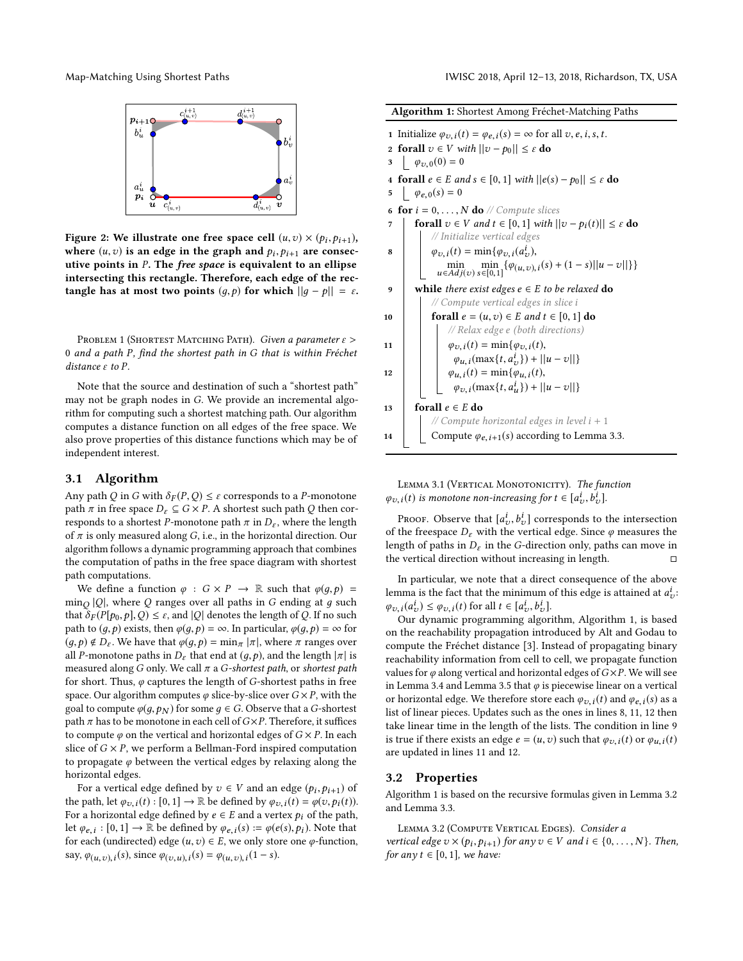<span id="page-2-0"></span>



Figure 2: We illustrate one free space cell  $(u, v) \times (p_i, p_{i+1})$ ,<br>where  $(u, v)$  is an edge in the graph and  $v, w$ , are consecwhere  $(u, v)$  is an edge in the graph and  $p_i, p_{i+1}$  are consec-<br>utive points in P. The free space is equivalent to an ellipse utive points in P. The free space is equivalent to an ellipse intersecting this rectangle. Therefore, each edge of the rectangle has at most two points  $(g, p)$  for which  $||g - p|| = \varepsilon$ .

PROBLEM 1 (SHORTEST MATCHING PATH). Given a parameter  $\varepsilon$  > <sup>0</sup> and a path P, find the shortest path in G that is within Fréchet distance ε to P.

Note that the source and destination of such a "shortest path" may not be graph nodes in G. We provide an incremental algorithm for computing such a shortest matching path. Our algorithm computes a distance function on all edges of the free space. We also prove properties of this distance functions which may be of independent interest.

# 3.1 Algorithm

Any path Q in G with  $\delta_F(P,Q) \leq \varepsilon$  corresponds to a P-monotone path  $\pi$  in free space  $D_{\varepsilon} \subseteq G \times P$ . A shortest such path Q then corresponds to a shortest P-monotone path  $\pi$  in  $D_{\varepsilon}$ , where the length of  $\pi$  is only measured along G, i.e., in the horizontal direction. Our algorithm follows a dynamic programming approach that combines the computation of paths in the free space diagram with shortest path computations.

We define a function  $\varphi : G \times P \to \mathbb{R}$  such that  $\varphi(q, p) =$  $\min_Q |Q|$ , where Q ranges over all paths in G ending at g such that  $\delta_P (PL_{R_1} | Q) \leq c$  and  $|Q|$  denotes the length of Q. If no such that  $\delta_F(P[p_0,p],Q) \leq \varepsilon$ , and |Q| denotes the length of Q. If no such path to  $(g, p)$  exists, then  $\varphi(g, p) = \infty$ . In particular,  $\varphi(g, p) = \infty$  for  $(q, p) \notin D_{\varepsilon}$ . We have that  $\varphi(q, p) = \min_{\pi} |\pi|$ , where  $\pi$  ranges over all P-monotone paths in  $D_{\varepsilon}$  that end at  $(g, p)$ , and the length  $|\pi|$  is measured along G only. We call  $\pi$  a G-shortest path, or shortest path for short. Thus,  $\varphi$  captures the length of G-shortest paths in free space. Our algorithm computes  $\varphi$  slice-by-slice over  $G \times P$ , with the goal to compute  $\varphi(q, p_N)$  for some  $q \in G$ . Observe that a G-shortest path  $\pi$  has to be monotone in each cell of  $G \times P$ . Therefore, it suffices to compute  $\varphi$  on the vertical and horizontal edges of  $G \times P$ . In each slice of  $G \times P$ , we perform a Bellman-Ford inspired computation to propagate  $\varphi$  between the vertical edges by relaxing along the horizontal edges.

For a vertical edge defined by  $v \in V$  and an edge  $(p_i, p_{i+1})$  of the path, let  $\varphi_{v,i}(t) : [0,1] \to \mathbb{R}$  be defined by  $\varphi_{v,i}(t) = \varphi(v, p_i(t))$ . For a horizontal edge defined by  $e \in E$  and a vertex  $p_i$  of the path, let  $\varphi_{e,i} : [0,1] \to \mathbb{R}$  be defined by  $\varphi_{e,i}(s) := \varphi(e(s),p_i)$ . Note that for each (undirected) edge  $(u, z) \in F$  we only stars and expunction for each (undirected) edge  $(u, v) \in E$ , we only store one  $\varphi$ -function, say,  $\varphi_{(u,v), i}(s)$ , since  $\varphi_{(v,u), i}(s) = \varphi_{(u,v), i}(1-s)$ .

<span id="page-2-10"></span><span id="page-2-8"></span><span id="page-2-7"></span><span id="page-2-5"></span><span id="page-2-2"></span><span id="page-2-1"></span>

| <b>Algorithm 1:</b> Shortest Among Fréchet-Matching Paths                                                                                                                                           |
|-----------------------------------------------------------------------------------------------------------------------------------------------------------------------------------------------------|
| 1 Initialize $\varphi_{v,i}(t) = \varphi_{e,i}(s) = \infty$ for all $v, e, i, s, t$ .<br><b>forall</b> $v \in V$ with $  v - p_0   \leq \varepsilon$ do<br>$\mathbf{2}$<br>$\phi_{v,0}(0) = 0$<br>3 |
| 4 forall $e \in E$ and $s \in [0, 1]$ with $  e(s) - p_0   \leq \varepsilon$ do<br>$\phi_{e,0}(s) = 0$<br>5                                                                                         |
| <b>for</b> $i = 0, \ldots, N$ <b>do</b> // Compute slices<br>6                                                                                                                                      |
| <b>forall</b> $v \in V$ and $t \in [0, 1]$ with $  v - p_i(t)   \leq \varepsilon$ do<br>7                                                                                                           |
| // Initialize vertical edges                                                                                                                                                                        |
| $\varphi_{v,i}(t) = \min{\{\varphi_{v,i}(a_v^i),\}}$<br>8                                                                                                                                           |
| $\min_{u \in Adj(v)} \min_{s \in [0,1]} {\{\varphi_{(u,v),i}(s) + (1-s)  u - v  \}}$                                                                                                                |
| while there exist edges $e \in E$ to be relaxed do<br>9                                                                                                                                             |
| // Compute vertical edges in slice i                                                                                                                                                                |
| forall $e = (u, v) \in E$ and $t \in [0, 1]$ do<br>10                                                                                                                                               |
| // Relax edge e (both directions)                                                                                                                                                                   |
| $\varphi_{v,i}(t) = \min{\varphi_{v,i}(t)},$<br>11                                                                                                                                                  |
| $\varphi_{u,i}(\max\{t,a_v^i\}) +   u-v  \}$                                                                                                                                                        |
| $\varphi_{u,i}(t) = \min{\varphi_{u,i}(t)},$<br>12                                                                                                                                                  |
| $\varphi_{v,i}(\max\{t,a_u^i\})+  u-v  \}$                                                                                                                                                          |
| forall $e \in E$ do<br>13                                                                                                                                                                           |
| // Compute horizontal edges in level $i + 1$                                                                                                                                                        |
| Compute $\varphi_{e, i+1}(s)$ according to Lemma 3.3.<br>14                                                                                                                                         |
|                                                                                                                                                                                                     |

<span id="page-2-9"></span><span id="page-2-4"></span><span id="page-2-3"></span>LEMMA 3.1 (VERTICAL MONOTONICITY). The function  $\varphi_{v,i}(t)$  is monotone non-increasing for  $t \in [a_v^i, b_v^i]$ .

PROOF. Observe that  $[a_v^i, b_v^i]$  corresponds to the intersection<br>the freespoce D, with the vertical edge. Since a measures the of the freespace  $D_{\varepsilon}$  with the vertical edge. Since  $\varphi$  measures the length of paths in D, in the C-direction only paths can move in length of paths in  $D_{\varepsilon}$  in the G-direction only, paths can move in the vertical direction without increasing in length. the vertical direction without increasing in length.

In particular, we note that a direct consequence of the above lemma is the fact that the minimum of this edge is attained at  $a_v^i$ :  $\varphi_{v,i}(a_v^i) \leq \varphi_{v,i}(t)$  for all  $t \in [a_v^i, b_v^i]$ .<br>Our dynamic programming algor-

 $\Omega_{\text{u}}(\mathcal{L}_{\text{v}}) = \tau \mathcal{L}_{\text{v}}(\mathcal{L}_{\text{v}})$  for all  $\tau \in \mathcal{L}_{\text{v}}(\mathcal{L}_{\text{v}})$ . Algorithm [1,](#page-2-1) is based on the reachability propagation introduced by Alt and Godau to compute the Fréchet distance [\[3\]](#page-6-16). Instead of propagating binary reachability information from cell to cell, we propagate function values for  $\varphi$  along vertical and horizontal edges of  $G\times P$ . We will see in Lemma [3.4](#page-3-1) and Lemma [3.5](#page-3-2) that  $\varphi$  is piecewise linear on a vertical or horizontal edge. We therefore store each  $\varphi_{v,i}(t)$  and  $\varphi_{e,i}(s)$  as a list of linear pieces. Updates such as the ones in lines [8,](#page-2-2) [11,](#page-2-3) [12](#page-2-4) then take linear time in the length of the lists. The condition in line [9](#page-2-5) is true if there exists an edge  $e = (u, v)$  such that  $\varphi_{v,i}(t)$  or  $\varphi_{u,i}(t)$ are updated in lines [11](#page-2-3) and [12.](#page-2-4)

## 3.2 Properties

Algorithm [1](#page-2-1) is based on the recursive formulas given in Lemma [3.2](#page-2-6) and Lemma [3.3.](#page-3-0)

<span id="page-2-6"></span>LEMMA 3.2 (COMPUTE VERTICAL EDGES). Consider a vertical edge  $v \times (p_i, p_{i+1})$  for any  $v \in V$  and  $i \in \{0, ..., N\}$ . Then,<br>for any  $t \in [0, 1]$  we have: for any  $t \in [0, 1]$ , we have: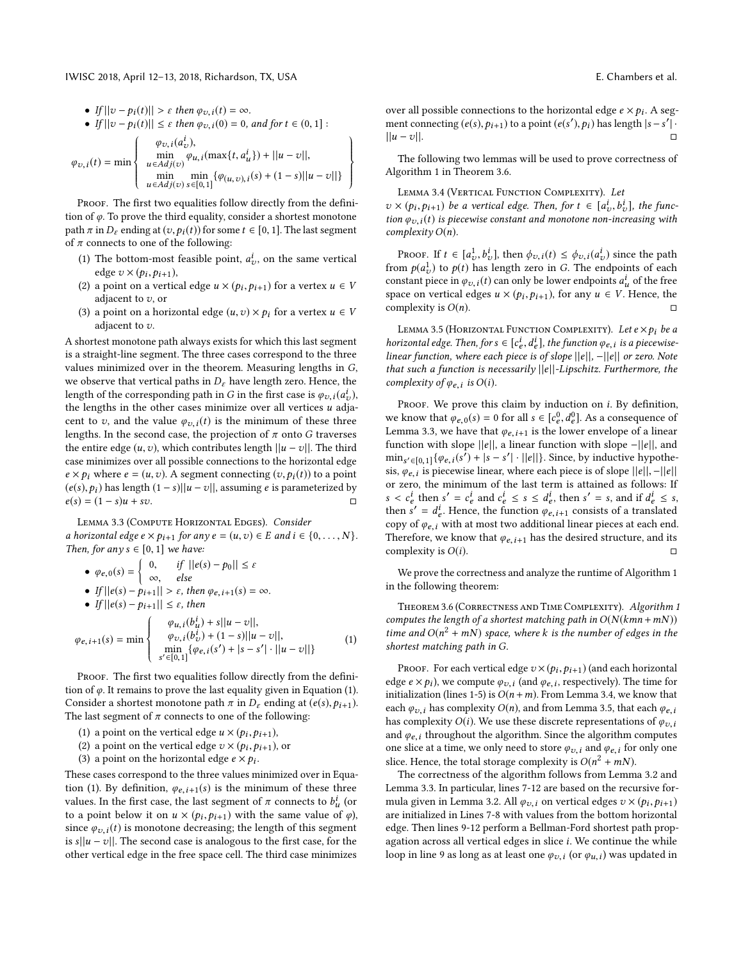IWISC 2018, April 12–13, 2018, Richardson, TX, USA E. Chambers et al.

• If 
$$
||v - p_i(t)|| > \varepsilon
$$
 then  $\varphi_{v,i}(t) = \infty$ .  
\n• If  $||v - p_i(t)|| \le \varepsilon$  then  $\varphi_{v,i}(0) = 0$ , and for  $t \in (0, 1]$ :  
\n
$$
\varphi_{v,i}(t) = \min \left\{ \begin{array}{l} \varphi_{v,i}(a_v^i), \\ \min_{u \in Adj(v)} \varphi_{u,i}(\max\{t, a_u^i\}) + ||u - v||, \\ \min_{u \in Adj(v)} \sup_{s \in [0, 1]} {\varphi_{(u, v), i}(s) + (1 - s)||u - v||} \end{array} \right\}
$$

PROOF. The first two equalities follow directly from the definition of  $\varphi$ . To prove the third equality, consider a shortest monotone path  $\pi$  in  $D_{\varepsilon}$  ending at  $(v, p_i(t))$  for some  $t \in [0, 1]$ . The last segment of  $\pi$  connects to one of the following:

- (1) The bottom-most feasible point,  $a_v^i$ , on the same vertical<br>edge  $v \times (b_1, b_2, \ldots)$ edge  $v \times (p_i, p_{i+1}),$
- (2) a point on a vertical edge  $u \times (p_i, p_{i+1})$  for a vertex  $u \in V$ adjacent to  $v$ , or
- (3) a point on a horizontal edge  $(u, v) \times p_i$  for a vertex  $u \in V$ adjacent to v.

A shortest monotone path always exists for which this last segment is a straight-line segment. The three cases correspond to the three values minimized over in the theorem. Measuring lengths in G, we observe that vertical paths in  $D_{\varepsilon}$  have length zero. Hence, the length of the corresponding path in G in the first case is  $\varphi_{v,i}(a_v^i)$ ,<br>the lengths in the other cases minimize over all vertices u odiothe lengths in the other cases minimize over all vertices u adja-<br>cent to z, and the value  $\mathcal{L}$ , (t) is the minimum of these three cent to v, and the value  $\varphi_{v,i}(t)$  is the minimum of these three lengths. In the second case, the projection of  $\pi$  onto G traverses the entire edge  $(u, v)$ , which contributes length  $||u - v||$ . The third case minimizes over all possible connections to the horizontal edge  $e \times p_i$  where  $e = (u, v)$ . A segment connecting  $(v, p_i(t))$  to a point  $(e(s), p_i)$  has length  $(1 - s)||u - v||$ , assuming *e* is parameterized by  $e(s) = (1 - s)u + sv.$ 

<span id="page-3-0"></span>LEMMA 3.3 (COMPUTE HORIZONTAL EDGES). Consider a horizontal edge  $e \times p_{i+1}$  for any  $e = (u, v) \in E$  and  $i \in \{0, ..., N\}$ . Then, for any  $s \in [0, 1]$  we have:

• 
$$
\varphi_{e,0}(s) = \begin{cases} 0, & \text{if } ||e(s) - p_0|| \le \varepsilon \\ \infty, & \text{else} \end{cases}
$$

$$
\begin{array}{c}\n\bullet \varphi_{e,0}(s) = \\ \bullet \quad \text{If } ||\varphi(s) - \varphi_{e,1}|| > \epsilon \quad \text{the} \\
\bullet \quad \text{If } ||\varphi(s) - \varphi_{e,1}|| > \epsilon\n\end{array}
$$

- If  $||e(s) p_{i+1}|| > \varepsilon$ , then  $\varphi_{e,i+1}(s) = \infty$ .
- If  $||e(s) p_{i+1}|| \leq \varepsilon$ , then

<span id="page-3-3"></span>
$$
\varphi_{e,i+1}(s) = \min \left\{ \begin{array}{ll} \varphi_{u,i}(b_{u}^{i}) + s||u - v||, \\ \varphi_{v,i}(b_{v}^{i}) + (1 - s)||u - v||, \\ \min_{s' \in [0,1]} {\{\varphi_{e,i}(s') + |s - s'| \cdot ||u - v||\}} \end{array} \right. \tag{1}
$$

PROOF. The first two equalities follow directly from the definition of  $\varphi$ . It remains to prove the last equality given in Equation [\(1\)](#page-3-3). Consider a shortest monotone path  $\pi$  in  $D_{\varepsilon}$  ending at (e(s),  $p_{i+1}$ ). The last segment of  $\pi$  connects to one of the following:

- (1) a point on the vertical edge  $u \times (p_i, p_{i+1})$ ,<br>(2) a point on the vertical edge  $v \times (p_i, p_{i+1})$ ,
- (2) a point on the vertical edge  $v \times (p_i, p_{i+1})$ , or
- (3) a point on the horizontal edge  $e \times p_i$ .

These cases correspond to the three values minimized over in Equa-tion [\(1\)](#page-3-3). By definition,  $\varphi_{e,i+1}(s)$  is the minimum of these three values. In the first case, the last segment of  $\pi$  connects to  $b^i_{\mu}$  (or to a point below it on  $\mu \times (n, h, \ldots)$  with the same value of  $\omega$ ) to a point below it on  $u \times (p_i, p_{i+1})$  with the same value of  $\varphi$ ),<br>since  $\varphi$ ,  $(t)$  is monotone decreasing; the length of this segment since  $\varphi_{v,i}(t)$  is monotone decreasing; the length of this segment is  $s||u - v||$ . The second case is analogous to the first case, for the other vertical edge in the free space cell. The third case minimizes

over all possible connections to the horizontal edge  $e \times p_i$ . A seg-<br>ment connecting  $(e(s), p_i)$ , i.e.,  $\log a$  point  $(e(s'), p_i)$  has length  $|s - s'|$ . ment connecting  $(e(s), p_{i+1})$  to a point  $(e(s'), p_i)$  has length  $|s - s'|$ .  $||u - v||.$ 

The following two lemmas will be used to prove correctness of Algorithm [1](#page-2-1) in Theorem [3.6.](#page-3-4)

<span id="page-3-1"></span>LEMMA 3.4 (VERTICAL FUNCTION COMPLEXITY). Let

 $v \times (p_i, p_{i+1})$  be a vertical edge. Then, for  $t \in [a_e^i, b_v^i]$ , the function  $a_e$ ,  $\ldots$  is piecewise constant and monotone non-increasing with  $\lim_{\alpha \to 0} \frac{\partial u}{\partial x}$ ,  $\lim_{\alpha \to 0} \frac{\partial u}{\partial y}$ ,  $\lim_{\alpha \to 0} \frac{\partial u}{\partial y}$ ,  $\lim_{\alpha \to 0} \frac{\partial u}{\partial y}$ ,  $\lim_{\alpha \to 0} \frac{\partial u}{\partial y}$ ,  $\lim_{\alpha \to 0} \frac{\partial u}{\partial y}$ complexity O(n).

Proof. If  $t \in [a_{v}^{1}, b_{v}^{i}]$ , then  $\phi_{v,i}(t) \leq \phi_{v,i}(a_{v}^{i})$  since the path  $m, \rho(a_{v}^{1})$  to  $\rho(t)$  has length zero in G. The enchange of each from  $p(a_v^1)$  to  $p(t)$  has length zero in G. The endpoints of each<br>constant piece in  $a_v$  (t) can only be lower endpoints  $a_v^i$  of the free constant piece in  $\varphi_{v,i}(t)$  can only be lower endpoints  $a^i_u$  of the free<br>space on vertical edges  $u \times (v, v, \cdot)$  for any  $u \in V$ . Hence, the space on vertical edges  $u \times (p_i, p_{i+1})$ , for any  $u \in V$ . Hence, the complexity is  $O(n)$ complexity is  $O(n)$ .

<span id="page-3-2"></span>LEMMA 3.5 (HORIZONTAL FUNCTION COMPLEXITY). Let  $e \times p_i$  be a horizontal edge. Then, for  $s \in [c_e^i, d_e^i]$ , the function  $\varphi_{e,i}$  is a piecewise-<br>linear function, where each piece is of slope  $||e|| - ||e||$  or zero. Note  $\frac{d}{dt}$  linear function, where each piece is of slope  $||e||$ ,  $-||e||$  or zero. Note<br>that such a function is necessarily  $||e||$ , inschitz, Eurthermora, the that such a function is necessarily  $||e||$ -Lipschitz. Furthermore, the complexity of  $\varphi_{e,i}$  is  $O(i)$ .

PROOF. We prove this claim by induction on  $i$ . By definition, we know that  $\varphi_{e,0}(s) = 0$  for all  $s \in [c_e^0, d_e^0]$ . As a consequence of a linear space of a linear Lemma [3.3,](#page-3-0) we have that  $φ_{e, i+1}$  is the lower envelope of a linear<br>function with slope light a linear function with slope  $\alpha$  all and function with slope  $||e||$ , a linear function with slope  $-||e||$ , and  $\min_{s' \in [0,1]} {\varphi_{e,i}(s') + |s - s'| \cdot ||e||}$ . Since, by inductive hypothe-<br>sis  $\varphi_{e,i}$  is piecewise linear where each piece is of slope  $||e||$  –  $||e||$ sis,  $\varphi_{e,i}$  is piecewise linear, where each piece is of slope  $||e||$ , - $||e||$ <br>or zero, the minimum of the lost term is attained as follows: If or zero, the minimum of the last term is attained as follows: If then  $s' = d_e^i$ . Hence, the function  $\varphi_{e,i+1}$  consists of a translated<br>conv of  $\varphi$ , with at most two additional linear pieces at each end  $\frac{i}{e}$  then  $s' = c_e^i$  and  $c_e^i \le s \le d_e^i$ , then  $s' = s$ , and if  $d_e^i \le s$ ,  $s' = d_e^i$ . Hence the function  $a_{e, i+1}$  consists of a translated copy of  $\varphi_{e,i}$  with at most two additional linear pieces at each end.<br>Therefore, we know that  $\varphi_{e,i}$ , has the desired structure, and its Therefore, we know that  $\varphi_{e,i+1}$  has the desired structure, and its complexity is  $O(i)$ .

We prove the correctness and analyze the runtime of Algorithm [1](#page-2-1) in the following theorem:

<span id="page-3-4"></span>Theorem 3.6 (Correctness and Time Complexity). Algorithm [1](#page-2-1) computes the length of a shortest matching path in  $O(N(kmn + mN))$ time and  $O(n^2 + mN)$  space, where k is the number of edges in the<br>shortest matching path in  $G$ shortest matching path in G.

PROOF. For each vertical edge  $v \times (p_i, p_{i+1})$  (and each horizontal<br>re e  $\times$  0.) we compute  $a_i$  : (and  $a_i$  : respectively). The time for edge  $e \times p_i$ ), we compute  $\varphi_{v,i}$  (and  $\varphi_{e,i}$ , respectively). The time for initialization (lines 1-5) is  $O(n+m)$ . From I emma 3.4, we know that initialization (lines [1-](#page-2-1)[5\)](#page-2-7) is  $O(n + m)$ . From Lemma [3.4,](#page-3-1) we know that each  $\varphi_{v,i}$  has complexity  $O(n)$ , and from Lemma [3.5,](#page-3-2) that each  $\varphi_{e,i}$ has complexity  $O(i)$ . We use these discrete representations of  $\varphi_{v,i}$ and  $\varphi_{e,i}$  throughout the algorithm. Since the algorithm computes one slice at a time, we only need to store  $\varphi_{v,i}$  and  $\varphi_{e,i}$  for only one slice. Hence, the total storage complexity is  $O(n^2 + mN)$ .<br>The correctness of the algorithm follows from Lemm

The correctness of the algorithm follows from Lemma [3.2](#page-2-6) and Lemma [3.3.](#page-3-0) In particular, lines [7-](#page-2-8)[12](#page-2-4) are based on the recursive for-mula given in Lemma [3.2.](#page-2-6) All  $\varphi_v$ , i on vertical edges  $v \times (p_i, p_{i+1})$ are initialized in Lines [7](#page-2-8)[-8](#page-2-2) with values from the bottom horizontal edge. Then lines [9](#page-2-5)[-12](#page-2-4) perform a Bellman-Ford shortest path propagation across all vertical edges in slice  $i$ . We continue the while loop in line [9](#page-2-5) as long as at least one  $\varphi_{v,i}$  (or  $\varphi_{u,i}$ ) was updated in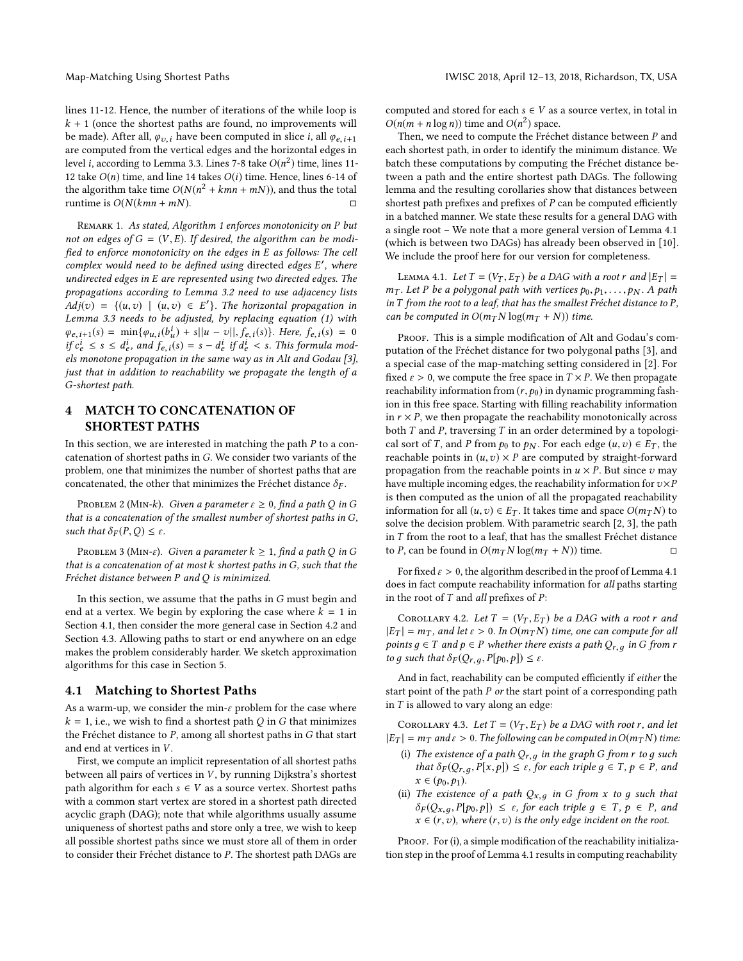lines [11](#page-2-3)[-12.](#page-2-4) Hence, the number of iterations of the while loop is  $k + 1$  (once the shortest paths are found, no improvements will be made). After all,  $\varphi_{v,i}$  have been computed in slice *i*, all  $\varphi_{e,i+1}$ are computed from the vertical edges and the horizontal edges in level *i*, according to Lemma [3.3.](#page-3-0) Lines [7](#page-2-8)[-8](#page-2-2) take  $O(n^2)$  time, lines [11-](#page-2-3)<br>12 take  $O(n)$  time, and line 14 takes  $O(i)$  time. Hence, lines 6-14 of [12](#page-2-4) take  $O(n)$  time, and line [14](#page-2-9) takes  $O(i)$  time. Hence, lines [6](#page-2-10)[-14](#page-2-9) of the algorithm take time  $O(N(n^2 + kmn + mN))$ , and thus the total<br>runtime is  $O(N(kmn + mN))$ runtime is  $O(N(kmn + mN))$ .

REMARK [1](#page-2-1). As stated, Algorithm 1 enforces monotonicity on P but not on edges of  $G = (V, E)$ . If desired, the algorithm can be modified to enforce monotonicity on the edges in E as follows: The cell complex would need to be defined using directed edges E', where<br>undirected edges in E are represented using two directed edges. The undirected edges in E are represented using two directed edges. The propagations according to Lemma [3.2](#page-2-6) need to use adjacency lists  $Adj(v) = \{(u, v) \mid (u, v) \in E'\}$ . The horizontal propagation in Lemma 3.3 needs to be adjusted by replacing equation (1) with Lemma [3.3](#page-3-0) needs to be adjusted, by replacing equation (1) with  $\varphi_{e,i+1}(s) = \min{\{\varphi_{u,i}(b_u^i) + s||u - v||, \hat{f}_{e,i}(s)\}}.$  Here,  $f_{e,i}(s) = 0$ <br>if  $e^i \le s \le d^i$ , and  $f_{e,i}(s) = s - d^i$  if  $d^i \le s$ . This formula mode if  $c_e^i \leq s \leq d_e^i$ , and  $f_{e,i}(s) = s - d_e^i$  if  $d_e^i < s$ . This formula mod-<br>els monotone proposation in the same way as in Alt and Goday [3] e e els monotone propagation in the same way as in Alt and Godau [\[3\]](#page-6-16), just that in addition to reachability we propagate the length of a G-shortest path.

# <span id="page-4-0"></span>4 MATCH TO CONCATENATION OF SHORTEST PATHS

In this section, we are interested in matching the path  $P$  to a concatenation of shortest paths in G. We consider two variants of the problem, one that minimizes the number of shortest paths that are concatenated, the other that minimizes the Fréchet distance  $\delta_F$ .

PROBLEM 2 (MIN-k). Given a parameter  $\varepsilon \geq 0$ , find a path Q in G that is a concatenation of the smallest number of shortest paths in G, such that  $\delta_F(P,Q) \leq \varepsilon$ .

PROBLEM 3 (MIN- $\varepsilon$ ). Given a parameter  $k \geq 1$ , find a path Q in G that is a concatenation of at most k shortest paths in G, such that the Fréchet distance between P and Q is minimized.

In this section, we assume that the paths in G must begin and end at a vertex. We begin by exploring the case where  $k = 1$  in Section [4.1,](#page-4-1) then consider the more general case in Section [4.2](#page-5-1) and Section [4.3.](#page-5-2) Allowing paths to start or end anywhere on an edge makes the problem considerably harder. We sketch approximation algorithms for this case in Section [5.](#page-5-0)

#### <span id="page-4-1"></span>4.1 Matching to Shortest Paths

As a warm-up, we consider the min- $\varepsilon$  problem for the case where  $k = 1$ , i.e., we wish to find a shortest path Q in G that minimizes the Fréchet distance to P, among all shortest paths in G that start and end at vertices in V.

First, we compute an implicit representation of all shortest paths between all pairs of vertices in  $V$ , by running Dijkstra's shortest path algorithm for each  $s \in V$  as a source vertex. Shortest paths with a common start vertex are stored in a shortest path directed acyclic graph (DAG); note that while algorithms usually assume uniqueness of shortest paths and store only a tree, we wish to keep all possible shortest paths since we must store all of them in order to consider their Fréchet distance to P. The shortest path DAGs are computed and stored for each  $s \in V$  as a source vertex, in total in  $O(n(m + n \log n))$  time and  $O(n^2)$  space.<br>Then we need to compute the Fréch

Then, we need to compute the Fréchet distance between P and each shortest path, in order to identify the minimum distance. We batch these computations by computing the Fréchet distance between a path and the entire shortest path DAGs. The following lemma and the resulting corollaries show that distances between shortest path prefixes and prefixes of  $P$  can be computed efficiently in a batched manner. We state these results for a general DAG with a single root – We note that a more general version of Lemma [4.1](#page-4-2) (which is between two DAGs) has already been observed in [\[10\]](#page-6-17). We include the proof here for our version for completeness.

<span id="page-4-2"></span>LEMMA 4.1. Let  $T = (V_T, E_T)$  be a DAG with a root r and  $|E_T|$  =  $m<sub>T</sub>$ . Let P be a polygonal path with vertices  $p<sub>0</sub>, p<sub>1</sub>, ..., p<sub>N</sub>$ . A path in T from the root to a leaf, that has the smallest Fréchet distance to P, can be computed in  $O(m_T N \log(m_T + N))$  time.

PROOF. This is a simple modification of Alt and Godau's computation of the Fréchet distance for two polygonal paths [\[3\]](#page-6-16), and a special case of the map-matching setting considered in [\[2\]](#page-6-1). For fixed  $\varepsilon > 0$ , we compute the free space in  $T \times P$ . We then propagate reachability information from  $(r, p_0)$  in dynamic programming fashion in this free space. Starting with filling reachability information in  $r \times P$ , we then propagate the reachability monotonically across both  $T$  and  $P$ , traversing  $T$  in an order determined by a topological sort of T, and P from  $p_0$  to  $p_N$ . For each edge  $(u, v) \in E_T$ , the reachable points in  $(u, v) \times P$  are computed by straight-forward propagation from the reachable points in  $u \times P$ . But since v may have multiple incoming edges, the reachability information for  $v \times P$ is then computed as the union of all the propagated reachability information for all  $(u, v) \in E_T$ . It takes time and space  $O(m_T N)$  to solve the decision problem. With parametric search [\[2,](#page-6-1) [3\]](#page-6-16), the path in T from the root to a leaf, that has the smallest Fréchet distance to P, can be found in  $O(m_T N \log(m_T + N))$  time.

For fixed  $\varepsilon > 0$ , the algorithm described in the proof of Lemma [4.1](#page-4-2) does in fact compute reachability information for all paths starting in the root of  $T$  and all prefixes of  $P$ :

<span id="page-4-3"></span>COROLLARY 4.2. Let  $T = (V_T, E_T)$  be a DAG with a root r and  $|E_T| = m_T$ , and let  $\varepsilon > 0$ . In  $O(m_T N)$  time, one can compute for all points  $g \in T$  and  $p \in P$  whether there exists a path  $Q_{r,q}$  in G from r to g such that  $\delta_F(Q_{r,q}, P[p_0, p]) \leq \varepsilon$ .

And in fact, reachability can be computed efficiently if either the start point of the path  $P$  or the start point of a corresponding path in  ${\cal T}$  is allowed to vary along an edge:

COROLLARY 4.3. Let  $T = (V_T, E_T)$  be a DAG with root r, and let  $|E_T| = m_T$  and  $\varepsilon > 0$ . The following can be computed in  $O(m_T N)$  time:

- (i) The existence of a path  $Q_{r,g}$  in the graph G from r to g such that  $\delta_F(Q_{r,q}, P[x,p]) \leq \varepsilon$ , for each triple  $q \in T$ ,  $p \in P$ , and  $x \in (p_0, p_1).$
- (ii) The existence of a path  $Q_{x,g}$  in G from x to g such that  $\delta_F(Q_{x,q}, P[p_0, p]) \leq \varepsilon$ , for each triple  $g \in T$ ,  $p \in P$ , and  $x \in (r, v)$ , where  $(r, v)$  is the only edge incident on the root.

PROOF. For (i), a simple modification of the reachability initialization step in the proof of Lemma [4.1](#page-4-2) results in computing reachability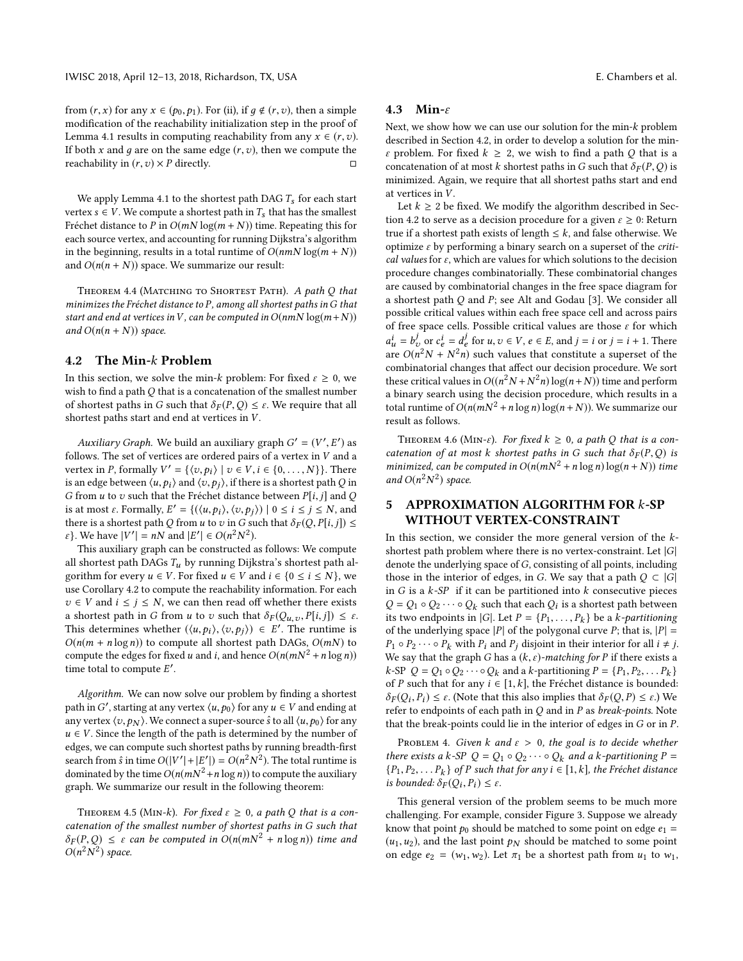from  $(r, x)$  for any  $x \in (p_0, p_1)$ . For (ii), if  $q \notin (r, v)$ , then a simple modification of the reachability initialization step in the proof of Lemma [4.1](#page-4-2) results in computing reachability from any  $x \in (r, v)$ . If both x and g are on the same edge  $(r, v)$ , then we compute the reachability in  $(r, v) \times P$  directly. reachability in  $(r, v) \times P$  directly.

We apply Lemma [4.1](#page-4-2) to the shortest path DAG  $T_s$  for each start vertex  $s \in V$ . We compute a shortest path in  $T_s$  that has the smallest Fréchet distance to P in  $O(mN \log(m+N))$  time. Repeating this for each source vertex, and accounting for running Dijkstra's algorithm in the beginning, results in a total runtime of  $O(nmN \log(m + N))$ and  $O(n(n + N))$  space. We summarize our result:

THEOREM 4.4 (MATCHING TO SHORTEST PATH). A path Q that minimizes the Fréchet distance to  $P$ , among all shortest paths in  $G$  that start and end at vertices in V, can be computed in  $O(nmN \log(m+N))$ and  $O(n(n + N))$  space.

#### <span id="page-5-1"></span>4.2 The Min-k Problem

In this section, we solve the min-k problem: For fixed  $\varepsilon \geq 0$ , we wish to find a path Q that is a concatenation of the smallest number of shortest paths in G such that  $\delta_F(P,Q) \leq \varepsilon$ . We require that all shortest paths start and end at vertices in  $V$ .

Auxiliary Graph. We build an auxiliary graph  $G' = (V', E')$  as lowe. The set of vertices are ordered pairs of a vertex in V and a follows. The set of vertices are ordered pairs of a vertex in V and a<br>vertex in P formally  $V' = \{(x, b) | x \in V : a \in \{0, ..., N\}\}\$ vertex in P, formally  $V' = \{(v, p_i) \mid v \in V, i \in \{0, ..., N\}\}\)$ . There is an edge between  $\langle u, p_i \rangle$  and  $\langle v, p_j \rangle$ , if there is a shortest path Q in G from  $u$  to  $v$  such that the Fréchet distance between  $P[i, j]$  and  $Q$ is at most  $\varepsilon$ . Formally,  $E' = \{(\langle u, p_i \rangle, \langle v, p_j \rangle) | 0 \le i \le j \le N, \text{ and}$ <br>there is a shortest path O from u to zin G such that  $\delta_{\infty}(Q, pl_i, i) \le j$ there is a shortest path Q from u to v in G such that  $\delta_F(Q, P[i, j]) \leq$  $ε$ }. We have  $|V'| = nN$  and  $|E'| ∈ O(n^2N^2)$ .<br>This auxiliary graph can be constructed s

This auxiliary graph can be constructed as follows: We compute all shortest path DAGs  $T_u$  by running Dijkstra's shortest path algorithm for every  $u \in V$ . For fixed  $u \in V$  and  $i \in \{0 \le i \le N\}$ , we use Corollary [4.2](#page-4-3) to compute the reachability information. For each  $v \in V$  and  $i \leq j \leq N$ , we can then read off whether there exists a shortest path in G from u to v such that  $\delta_F(Q_{u,v}, P[i, j]) \leq \varepsilon$ . This determines whether  $(\langle u, p_i \rangle, \langle v, p_j \rangle) \in E'$ . The runtime is  $O(n(m + n \log n))$  to compute all shortest path DAGs  $O(mN)$  to  $O(n(m + n \log n))$  to compute all shortest path DAGs,  $O(mN)$  to compute the edges for fixed u and i, and hence  $O(n(mN^2 + n \log n))$ time total to compute  $E'$ .

Algorithm. We can now solve our problem by finding a shortest path in G', starting at any vertex  $\langle u, p_0 \rangle$  for any  $u \in V$  and ending at any vertex  $\langle v, p_N \rangle$ . We connect a super-source  $\hat{s}$  to all  $\langle u, p_0 \rangle$  for any  $u \in V$ . Since the length of the path is determined by the number of edges, we can compute such shortest paths by running breadth-first search from  $\hat{s}$  in time  $O(|V'| + |E'|) = O(n^2 N^2)$ . The total runtime is<br>dominated by the time  $O(n(mN^2 + n \log n))$  to compute the auxiliary dominated by the time  $O(n(mN^2 + n \log n))$  to compute the auxiliary<br>graph We cummarize our result in the following theorem: graph. We summarize our result in the following theorem:

THEOREM 4.5 (MIN-k). For fixed  $\varepsilon \geq 0$ , a path Q that is a concatenation of the smallest number of shortest paths in G such that  $\delta_F(P,Q) \leq \varepsilon$  can be computed in  $O(n(mN^2 + n \log n))$  time and  $O(n^2N^2)$  space.

#### <span id="page-5-2"></span>4.3 Min-ε

Next, we show how we can use our solution for the min-k problem described in Section [4.2,](#page-5-1) in order to develop a solution for the min- $\varepsilon$  problem. For fixed  $k \geq 2$ , we wish to find a path Q that is a concatenation of at most k shortest paths in G such that  $\delta_F(P,Q)$  is minimized. Again, we require that all shortest paths start and end at vertices in V.

Let  $k \geq 2$  be fixed. We modify the algorithm described in Sec-tion [4.2](#page-5-1) to serve as a decision procedure for a given  $\varepsilon \geq 0$ : Return true if a shortest path exists of length  $\leq k$ , and false otherwise. We optimize  $\varepsilon$  by performing a binary search on a superset of the *criti*cal values for  $\varepsilon$ , which are values for which solutions to the decision procedure changes combinatorially. These combinatorial changes are caused by combinatorial changes in the free space diagram for a shortest path  $Q$  and  $P$ ; see Alt and Godau [\[3\]](#page-6-16). We consider all possible critical values within each free space cell and across pairs of free space cells. Possible critical values are those  $\varepsilon$  for which are  $O(n^2N + N^2n)$  such values that constitute a superset of the combinatorial changes that affect our decision procedure. We sort  $u_{\mu}^{i} = b_{\nu}^{j}$  or  $c_{e}^{i} = d_{e}^{j}$  for  $u, v \in V, e \in E$ , and  $j = i$  or  $j = i + 1$ . There  $O(n^{2}N + N^{2}n)$  such values that constitute a superset of the combinatorial changes that affect our decision procedure. We sort these critical values in  $O((n^2N + N^2n) \log(n+N))$  time and perform<br>a binary search using the decision procedure, which results in a a binary search using the decision procedure, which results in a total runtime of  $O(n(mN^2 + n \log n) \log(n + N))$ . We summarize our result as follows.

THEOREM 4.6 (MIN- $\varepsilon$ ). For fixed  $k \ge 0$ , a path Q that is a concatenation of at most k shortest paths in G such that  $\delta_F(P,Q)$  is minimized, can be computed in  $O(n(mN^2 + n \log n) \log(n + N))$  time and  $O(n^2)$  $<sup>2</sup>$ ) space.</sup>

# <span id="page-5-0"></span>5 APPROXIMATION ALGORITHM FOR k-SP WITHOUT VERTEX-CONSTRAINT

In this section, we consider the more general version of the  $k$ shortest path problem where there is no vertex-constraint. Let  $|G|$ denote the underlying space of G, consisting of all points, including those in the interior of edges, in G. We say that a path  $Q \subset |G|$ in  $G$  is a  $k$ -SP if it can be partitioned into  $k$  consecutive pieces  $Q = Q_1 \circ Q_2 \cdots \circ Q_k$  such that each  $Q_i$  is a shortest path between<br>its two endpoints in  $|G|$ . Let  $P = IP$ ,  $P$ , let a k-partitioning its two endpoints in  $|G|$ . Let  $P = \{P_1, \ldots, P_k\}$  be a k-partitioning<br>of the underlying space  $|P|$  of the polygonal curve  $P$ ; that is  $|P|$ of the underlying space |P| of the polygonal curve P; that is,  $|P| =$  $P_1 \circ P_2 \cdots \circ P_k$  with  $P_i$  and  $P_j$  disjoint in their interior for all  $i \neq j$ . We say that the graph G has a  $(k, \varepsilon)$ -matching for P if there exists a k-SP  $Q = Q_1 \circ Q_2 \cdots \circ Q_k$  and a k-partitioning  $P = \{P_1, P_2, \ldots, P_k\}$ <br>of P such that for any  $i \in [1, k]$  the Fréchet distance is bounded of P such that for any  $i \in [1, k]$ , the Fréchet distance is bounded:  $\delta_F(Q_i, P_i) \leq \varepsilon$ . (Note that this also implies that  $\delta_F(Q, P) \leq \varepsilon$ .) We refer to endpoints of each path in Q and in P as hreak-points. Note refer to endpoints of each path in  $Q$  and in  $P$  as *break-points*. Note that the break-points could lie in the interior of edges in G or in P.

PROBLEM 4. Given k and  $\varepsilon > 0$ , the goal is to decide whether there exists a k-SP  $Q = Q_1 \circ Q_2 \cdots \circ Q_k$  and a k-partitioning  $P =$  ${P_1, P_2, \ldots, P_k}$  of P such that for any  $i \in [1, k]$ , the Fréchet distance<br>is bounded:  $\delta_{\Gamma}(O \colon P_i) \leq \varepsilon$ is bounded:  $\delta_F(Q_i, P_i) \leq \varepsilon$ .

This general version of the problem seems to be much more challenging. For example, consider Figure [3.](#page-6-18) Suppose we already know that point  $p_0$  should be matched to some point on edge  $e_1$  =  $(u_1, u_2)$ , and the last point  $p_N$  should be matched to some point on edge  $e_2 = (w_1, w_2)$ . Let  $\pi_1$  be a shortest path from  $u_1$  to  $w_1$ ,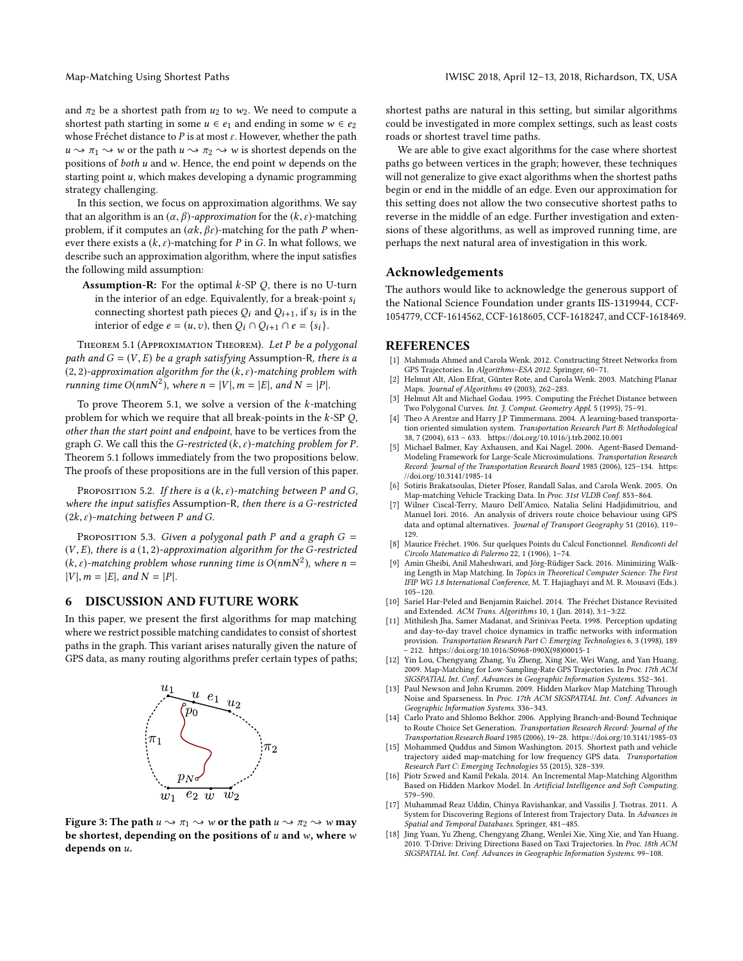and  $\pi_2$  be a shortest path from  $u_2$  to  $w_2$ . We need to compute a shortest path starting in some  $u \in e_1$  and ending in some  $w \in e_2$ whose Fréchet distance to P is at most  $\varepsilon$ . However, whether the path  $u \rightarrow \pi_1 \rightarrow w$  or the path  $u \rightarrow \pi_2 \rightarrow w$  is shortest depends on the positions of both u and w. Hence, the end point w depends on the starting point  $u$ , which makes developing a dynamic programming strategy challenging.

In this section, we focus on approximation algorithms. We say that an algorithm is an  $(\alpha, \beta)$ -approximation for the  $(k, \varepsilon)$ -matching problem, if it computes an  $(\alpha k, \beta \varepsilon)$ -matching for the path P whenever there exists a  $(k, \varepsilon)$ -matching for P in G. In what follows, we describe such an approximation algorithm, where the input satisfies the following mild assumption:

**Assumption-R:** For the optimal  $k$ -SP  $O$ , there is no U-turn in the interior of an edge. Equivalently, for a break-point  $s_i$ connecting shortest path pieces  $Q_i$  and  $Q_{i+1}$ , if  $s_i$  is in the interior of edge  $e = (u, z)$  then  $Q_i \cap Q_{i+1} \cap e = Is_i$ interior of edge  $e = (u, v)$ , then  $Q_i \cap Q_{i+1} \cap e = \{s_i\}$ .

<span id="page-6-19"></span>THEOREM 5.1 (APPROXIMATION THEOREM). Let P be a polygonal path and  $G = (V, E)$  be a graph satisfying Assumption-R, there is a  $(2, 2)$ -approximation algorithm for the  $(k, \varepsilon)$ -matching problem with running time  $O(nmN^2)$ , where  $n = |V|$ ,  $m = |E|$ , and  $N = |P|$ .

To prove Theorem [5.1,](#page-6-19) we solve a version of the  $k$ -matching problem for which we require that all break-points in the  $k$ -SP  $Q$ , other than the start point and endpoint, have to be vertices from the graph G. We call this the G-restricted  $(k, \varepsilon)$ -matching problem for P. Theorem [5.1](#page-6-19) follows immediately from the two propositions below. The proofs of these propositions are in the full version of this paper.

PROPOSITION 5.2. If there is a  $(k, \varepsilon)$ -matching between P and G, where the input satisfies Assumption-R, then there is a G-restricted  $(2k, \varepsilon)$ -matching between P and G.

PROPOSITION 5.3. Given a polygonal path P and a graph  $G =$  $(V, E)$ , there is a  $(1, 2)$ -approximation algorithm for the G-restricted  $(k, \varepsilon)$ -matching problem whose running time is  $O(nmN^2)$ , where  $n = |V|$  and  $N = |P|$  $|V|, m = |E|, and N = |P|$ .

## 6 DISCUSSION AND FUTURE WORK

<span id="page-6-18"></span>In this paper, we present the first algorithms for map matching where we restrict possible matching candidates to consist of shortest paths in the graph. This variant arises naturally given the nature of GPS data, as many routing algorithms prefer certain types of paths;



Figure 3: The path  $u \sim \pi_1 \sim w$  or the path  $u \sim \pi_2 \sim w$  may be shortest, depending on the positions of  $u$  and  $w$ , where  $w$ depends on u.

shortest paths are natural in this setting, but similar algorithms could be investigated in more complex settings, such as least costs roads or shortest travel time paths.

We are able to give exact algorithms for the case where shortest paths go between vertices in the graph; however, these techniques will not generalize to give exact algorithms when the shortest paths begin or end in the middle of an edge. Even our approximation for this setting does not allow the two consecutive shortest paths to reverse in the middle of an edge. Further investigation and extensions of these algorithms, as well as improved running time, are perhaps the next natural area of investigation in this work.

# Acknowledgements

The authors would like to acknowledge the generous support of the National Science Foundation under grants IIS-1319944, CCF-1054779, CCF-1614562, CCF-1618605, CCF-1618247, and CCF-1618469.

#### **REFERENCES**

- <span id="page-6-0"></span>[1] Mahmuda Ahmed and Carola Wenk. 2012. Constructing Street Networks from GPS Trajectories. In Algorithms–ESA 2012. Springer, 60–71.
- <span id="page-6-1"></span>[2] Helmut Alt, Alon Efrat, Günter Rote, and Carola Wenk. 2003. Matching Planar Maps. Journal of Algorithms 49 (2003), 262–283.
- <span id="page-6-16"></span>[3] Helmut Alt and Michael Godau. 1995. Computing the Fréchet Distance between Two Polygonal Curves. Int. J. Comput. Geometry Appl. 5 (1995), 75-91.
- <span id="page-6-12"></span>[4] Theo A Arentze and Harry J.P Timmermans. 2004. A learning-based transportation oriented simulation system. Transportation Research Part B: Methodological 38, 7 (2004), 613 – 633.<https://doi.org/10.1016/j.trb.2002.10.001>
- <span id="page-6-13"></span>[5] Michael Balmer, Kay Axhausen, and Kai Nagel. 2006. Agent-Based Demand-Modeling Framework for Large-Scale Microsimulations. Transportation Research Record: Journal of the Transportation Research Board 1985 (2006), 125–134. [https:](https://doi.org/10.3141/1985-14) [//doi.org/10.3141/1985-14](https://doi.org/10.3141/1985-14)
- <span id="page-6-2"></span>[6] Sotiris Brakatsoulas, Dieter Pfoser, Randall Salas, and Carola Wenk. 2005. On Map-matching Vehicle Tracking Data. In Proc. 31st VLDB Conf. 853-864.
- <span id="page-6-3"></span>[7] Wilner Ciscal-Terry, Mauro Dell'Amico, Natalia Selini Hadjidimitriou, and Manuel Iori. 2016. An analysis of drivers route choice behaviour using GPS data and optimal alternatives. Journal of Transport Geography 51 (2016), 119– 129.
- <span id="page-6-11"></span>[8] Maurice Fréchet. 1906. Sur quelques Points du Calcul Fonctionnel. Rendiconti del Circolo Matematico di Palermo 22, 1 (1906), 1–74.
- <span id="page-6-10"></span>[9] Amin Gheibi, Anil Maheshwari, and Jörg-Rüdiger Sack. 2016. Minimizing Walking Length in Map Matching. In Topics in Theoretical Computer Science: The First IFIP WG 1.8 International Conference, M. T. Hajiaghayi and M. R. Mousavi (Eds.). 105–120.
- <span id="page-6-17"></span>[10] Sariel Har-Peled and Benjamin Raichel. 2014. The Fréchet Distance Revisited and Extended. ACM Trans. Algorithms 10, 1 (Jan. 2014), 3:1–3:22.
- <span id="page-6-14"></span>[11] Mithilesh Jha, Samer Madanat, and Srinivas Peeta. 1998. Perception updating and day-to-day travel choice dynamics in traffic networks with information provision. Transportation Research Part C: Emerging Technologies 6, 3 (1998), 189 – 212. [https://doi.org/10.1016/S0968-090X\(98\)00015-1](https://doi.org/10.1016/S0968-090X(98)00015-1)
- <span id="page-6-6"></span>[12] Yin Lou, Chengyang Zhang, Yu Zheng, Xing Xie, Wei Wang, and Yan Huang. 2009. Map-Matching for Low-Sampling-Rate GPS Trajectories. In Proc. 17th ACM SIGSPATIAL Int. Conf. Advances in Geographic Information Systems. 352–361.
- <span id="page-6-8"></span>[13] Paul Newson and John Krumm. 2009. Hidden Markov Map Matching Through Noise and Sparseness. In Proc. 17th ACM SIGSPATIAL Int. Conf. Advances in Geographic Information Systems. 336–343.
- <span id="page-6-15"></span>[14] Carlo Prato and Shlomo Bekhor. 2006. Applying Branch-and-Bound Technique to Route Choice Set Generation. Transportation Research Record: Journal of the Transportation Research Board 1985 (2006), 19–28.<https://doi.org/10.3141/1985-03>
- <span id="page-6-7"></span>[15] Mohammed Quddus and Simon Washington. 2015. Shortest path and vehicle trajectory aided map-matching for low frequency GPS data. Transportation Research Part C: Emerging Technologies 55 (2015), 328–339.
- <span id="page-6-9"></span>[16] Piotr Szwed and Kamil Pekala. 2014. An Incremental Map-Matching Algorithm Based on Hidden Markov Model. In Artificial Intelligence and Soft Computing. 579–590.
- <span id="page-6-4"></span>[17] Muhammad Reaz Uddin, Chinya Ravishankar, and Vassilis J. Tsotras. 2011. A System for Discovering Regions of Interest from Trajectory Data. In Advances in Spatial and Temporal Databases. Springer, 481–485.
- <span id="page-6-5"></span>[18] Jing Yuan, Yu Zheng, Chengyang Zhang, Wenlei Xie, Xing Xie, and Yan Huang. 2010. T-Drive: Driving Directions Based on Taxi Trajectories. In Proc. 18th ACM SIGSPATIAL Int. Conf. Advances in Geographic Information Systems. 99–108.